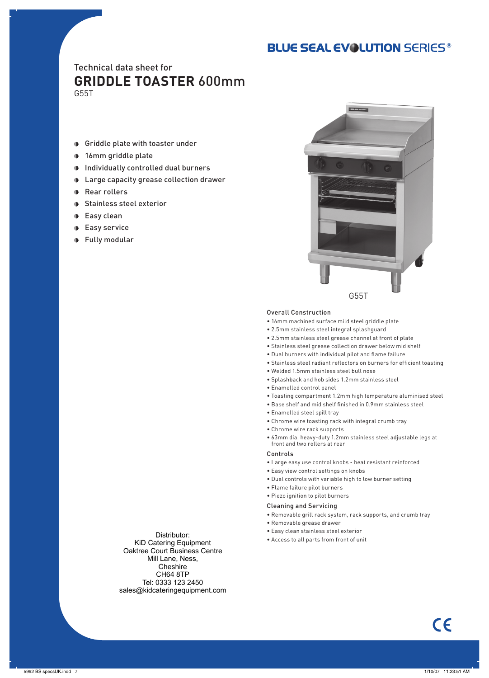# **BLUE SEAL EVOLUTION SERIES®**

# Technical data sheet for **GRIDDLE TOASTER** 600mm

G55T

- Griddle plate with toaster under
- **16mm griddle plate**
- $\bullet$  Individually controlled dual burners
- Large capacity grease collection drawer
- **Rear rollers**
- **D** Stainless steel exterior
- **Easy clean**
- **Easy service**
- **D** Fully modular



#### Overall Construction

- 16mm machined surface mild steel griddle plate
- 2.5mm stainless steel integral splashguard
- 2.5mm stainless steel grease channel at front of plate
- Stainless steel grease collection drawer below mid shelf
- Dual burners with individual pilot and flame failure
- Stainless steel radiant reflectors on burners for efficient toasting
- Welded 1.5mm stainless steel bull nose
- Splashback and hob sides 1.2mm stainless steel
- Enamelled control panel
- Toasting compartment 1.2mm high temperature aluminised steel
- Base shelf and mid shelf finished in 0.9mm stainless steel
- Enamelled steel spill tray
- Chrome wire toasting rack with integral crumb tray
- Chrome wire rack supports
- 63mm dia. heavy-duty 1.2mm stainless steel adjustable legs at front and two rollers at rear

#### Controls

- Large easy use control knobs heat resistant reinforced
- Easy view control settings on knobs
- Dual controls with variable high to low burner setting
- Flame failure pilot burners
- Piezo ignition to pilot burners

#### Cleaning and Servicing

- Removable grill rack system, rack supports, and crumb tray
- Removable grease drawer
- Easy clean stainless steel exterior
- Access to all parts from front of unit

Distributor: KiD Catering Equipment Oaktree Court Business Centre Mill Lane, Ness, **Cheshire** CH64 8TP Tel: 0333 123 2450 sales@kidcateringequipment.com